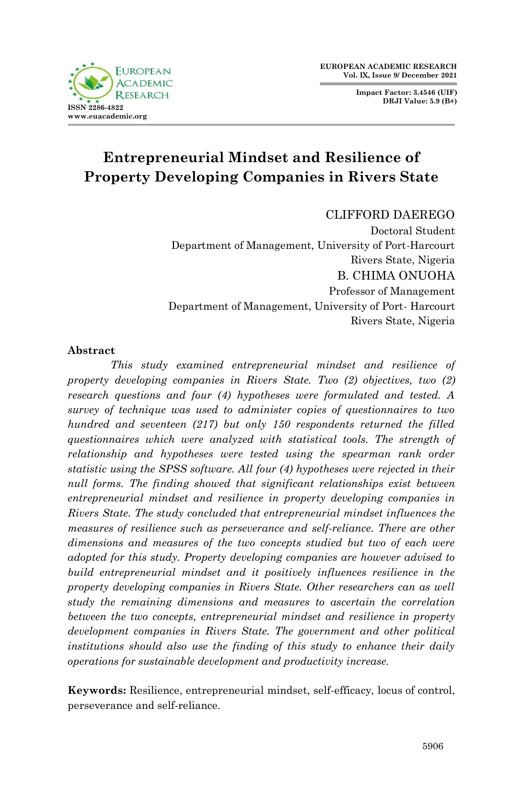**Impact Factor: 3.4546 (UIF) DRJI Value: 5.9 (B+)**



# **Entrepreneurial Mindset and Resilience of Property Developing Companies in Rivers State**

CLIFFORD DAEREGO

Doctoral Student Department of Management, University of Port-Harcourt Rivers State, Nigeria B. CHIMA ONUOHA Professor of Management Department of Management, University of Port- Harcourt Rivers State, Nigeria

#### **Abstract**

*This study examined entrepreneurial mindset and resilience of property developing companies in Rivers State. Two (2) objectives, two (2) research questions and four (4) hypotheses were formulated and tested. A survey of technique was used to administer copies of questionnaires to two hundred and seventeen (217) but only 150 respondents returned the filled questionnaires which were analyzed with statistical tools. The strength of relationship and hypotheses were tested using the spearman rank order statistic using the SPSS software. All four (4) hypotheses were rejected in their null forms. The finding showed that significant relationships exist between entrepreneurial mindset and resilience in property developing companies in Rivers State. The study concluded that entrepreneurial mindset influences the measures of resilience such as perseverance and self-reliance. There are other dimensions and measures of the two concepts studied but two of each were adopted for this study. Property developing companies are however advised to build entrepreneurial mindset and it positively influences resilience in the property developing companies in Rivers State. Other researchers can as well study the remaining dimensions and measures to ascertain the correlation between the two concepts, entrepreneurial mindset and resilience in property development companies in Rivers State. The government and other political institutions should also use the finding of this study to enhance their daily operations for sustainable development and productivity increase.*

**Keywords:** Resilience, entrepreneurial mindset, self-efficacy, locus of control, perseverance and self-reliance.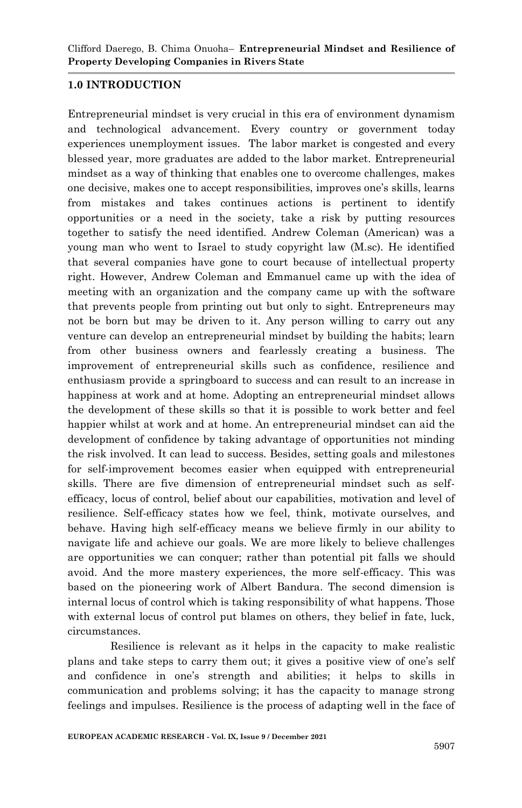#### **1.0 INTRODUCTION**

Entrepreneurial mindset is very crucial in this era of environment dynamism and technological advancement. Every country or government today experiences unemployment issues. The labor market is congested and every blessed year, more graduates are added to the labor market. Entrepreneurial mindset as a way of thinking that enables one to overcome challenges, makes one decisive, makes one to accept responsibilities, improves one's skills, learns from mistakes and takes continues actions is pertinent to identify opportunities or a need in the society, take a risk by putting resources together to satisfy the need identified. Andrew Coleman (American) was a young man who went to Israel to study copyright law (M.sc). He identified that several companies have gone to court because of intellectual property right. However, Andrew Coleman and Emmanuel came up with the idea of meeting with an organization and the company came up with the software that prevents people from printing out but only to sight. Entrepreneurs may not be born but may be driven to it. Any person willing to carry out any venture can develop an entrepreneurial mindset by building the habits; learn from other business owners and fearlessly creating a business. The improvement of entrepreneurial skills such as confidence, resilience and enthusiasm provide a springboard to success and can result to an increase in happiness at work and at home. Adopting an entrepreneurial mindset allows the development of these skills so that it is possible to work better and feel happier whilst at work and at home. An entrepreneurial mindset can aid the development of confidence by taking advantage of opportunities not minding the risk involved. It can lead to success. Besides, setting goals and milestones for self-improvement becomes easier when equipped with entrepreneurial skills. There are five dimension of entrepreneurial mindset such as selfefficacy, locus of control, belief about our capabilities, motivation and level of resilience. Self-efficacy states how we feel, think, motivate ourselves, and behave. Having high self-efficacy means we believe firmly in our ability to navigate life and achieve our goals. We are more likely to believe challenges are opportunities we can conquer; rather than potential pit falls we should avoid. And the more mastery experiences, the more self-efficacy. This was based on the pioneering work of Albert Bandura. The second dimension is internal locus of control which is taking responsibility of what happens. Those with external locus of control put blames on others, they belief in fate, luck, circumstances.

Resilience is relevant as it helps in the capacity to make realistic plans and take steps to carry them out; it gives a positive view of one's self and confidence in one's strength and abilities; it helps to skills in communication and problems solving; it has the capacity to manage strong feelings and impulses. Resilience is the process of adapting well in the face of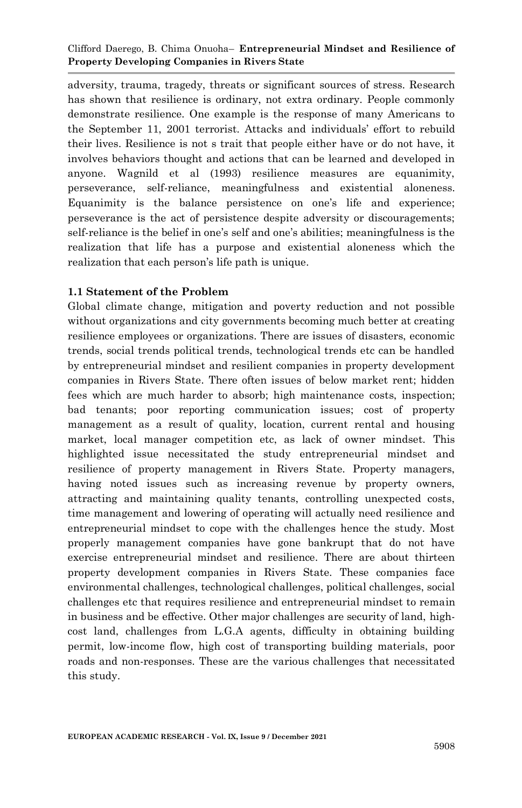#### Clifford Daerego, B. Chima Onuoha– **Entrepreneurial Mindset and Resilience of Property Developing Companies in Rivers State**

adversity, trauma, tragedy, threats or significant sources of stress. Research has shown that resilience is ordinary, not extra ordinary. People commonly demonstrate resilience. One example is the response of many Americans to the September 11, 2001 terrorist. Attacks and individuals' effort to rebuild their lives. Resilience is not s trait that people either have or do not have, it involves behaviors thought and actions that can be learned and developed in anyone. Wagnild et al (1993) resilience measures are equanimity, perseverance, self-reliance, meaningfulness and existential aloneness. Equanimity is the balance persistence on one's life and experience; perseverance is the act of persistence despite adversity or discouragements; self-reliance is the belief in one's self and one's abilities; meaningfulness is the realization that life has a purpose and existential aloneness which the realization that each person's life path is unique.

#### **1.1 Statement of the Problem**

Global climate change, mitigation and poverty reduction and not possible without organizations and city governments becoming much better at creating resilience employees or organizations. There are issues of disasters, economic trends, social trends political trends, technological trends etc can be handled by entrepreneurial mindset and resilient companies in property development companies in Rivers State. There often issues of below market rent; hidden fees which are much harder to absorb; high maintenance costs, inspection; bad tenants; poor reporting communication issues; cost of property management as a result of quality, location, current rental and housing market, local manager competition etc, as lack of owner mindset. This highlighted issue necessitated the study entrepreneurial mindset and resilience of property management in Rivers State. Property managers, having noted issues such as increasing revenue by property owners, attracting and maintaining quality tenants, controlling unexpected costs, time management and lowering of operating will actually need resilience and entrepreneurial mindset to cope with the challenges hence the study. Most properly management companies have gone bankrupt that do not have exercise entrepreneurial mindset and resilience. There are about thirteen property development companies in Rivers State. These companies face environmental challenges, technological challenges, political challenges, social challenges etc that requires resilience and entrepreneurial mindset to remain in business and be effective. Other major challenges are security of land, highcost land, challenges from L.G.A agents, difficulty in obtaining building permit, low-income flow, high cost of transporting building materials, poor roads and non-responses. These are the various challenges that necessitated this study.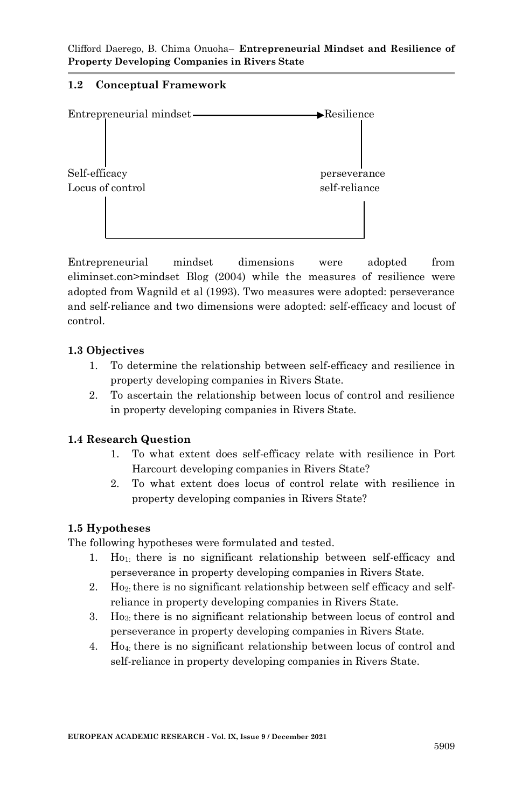# **1.2 Conceptual Framework**



Entrepreneurial mindset dimensions were adopted from eliminset.con>mindset Blog (2004) while the measures of resilience were adopted from Wagnild et al (1993). Two measures were adopted: perseverance and self-reliance and two dimensions were adopted: self-efficacy and locust of control.

# **1.3 Objectives**

- 1. To determine the relationship between self-efficacy and resilience in property developing companies in Rivers State.
- 2. To ascertain the relationship between locus of control and resilience in property developing companies in Rivers State.

# **1.4 Research Question**

- 1. To what extent does self-efficacy relate with resilience in Port Harcourt developing companies in Rivers State?
- 2. To what extent does locus of control relate with resilience in property developing companies in Rivers State?

# **1.5 Hypotheses**

The following hypotheses were formulated and tested.

- 1. Ho1: there is no significant relationship between self-efficacy and perseverance in property developing companies in Rivers State.
- 2. Ho<sub>2</sub>: there is no significant relationship between self efficacy and selfreliance in property developing companies in Rivers State.
- 3. Ho3: there is no significant relationship between locus of control and perseverance in property developing companies in Rivers State.
- 4. Ho4: there is no significant relationship between locus of control and self-reliance in property developing companies in Rivers State.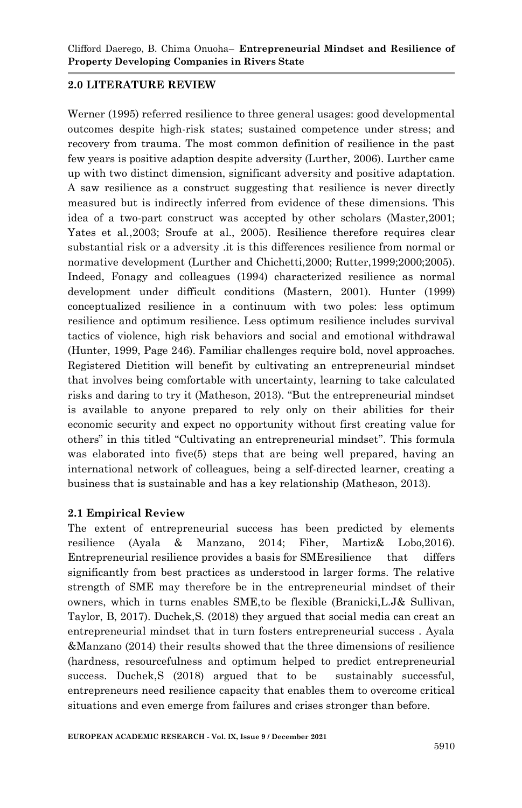# **2.0 LITERATURE REVIEW**

Werner (1995) referred resilience to three general usages: good developmental outcomes despite high-risk states; sustained competence under stress; and recovery from trauma. The most common definition of resilience in the past few years is positive adaption despite adversity (Lurther, 2006). Lurther came up with two distinct dimension, significant adversity and positive adaptation. A saw resilience as a construct suggesting that resilience is never directly measured but is indirectly inferred from evidence of these dimensions. This idea of a two-part construct was accepted by other scholars (Master,2001; Yates et al.,2003; Sroufe at al., 2005). Resilience therefore requires clear substantial risk or a adversity .it is this differences resilience from normal or normative development (Lurther and Chichetti,2000; Rutter,1999;2000;2005). Indeed, Fonagy and colleagues (1994) characterized resilience as normal development under difficult conditions (Mastern, 2001). Hunter (1999) conceptualized resilience in a continuum with two poles: less optimum resilience and optimum resilience. Less optimum resilience includes survival tactics of violence, high risk behaviors and social and emotional withdrawal (Hunter, 1999, Page 246). Familiar challenges require bold, novel approaches. Registered Dietition will benefit by cultivating an entrepreneurial mindset that involves being comfortable with uncertainty, learning to take calculated risks and daring to try it (Matheson, 2013). "But the entrepreneurial mindset is available to anyone prepared to rely only on their abilities for their economic security and expect no opportunity without first creating value for others" in this titled "Cultivating an entrepreneurial mindset". This formula was elaborated into five(5) steps that are being well prepared, having an international network of colleagues, being a self-directed learner, creating a business that is sustainable and has a key relationship (Matheson, 2013).

# **2.1 Empirical Review**

The extent of entrepreneurial success has been predicted by elements resilience (Ayala & Manzano, 2014; Fiher, Martiz& Lobo,2016). Entrepreneurial resilience provides a basis for SMEresilience that differs significantly from best practices as understood in larger forms. The relative strength of SME may therefore be in the entrepreneurial mindset of their owners, which in turns enables SME,to be flexible (Branicki,L.J& Sullivan, Taylor, B, 2017). Duchek,S. (2018) they argued that social media can creat an entrepreneurial mindset that in turn fosters entrepreneurial success . Ayala &Manzano (2014) their results showed that the three dimensions of resilience (hardness, resourcefulness and optimum helped to predict entrepreneurial success. Duchek,S (2018) argued that to be sustainably successful, entrepreneurs need resilience capacity that enables them to overcome critical situations and even emerge from failures and crises stronger than before.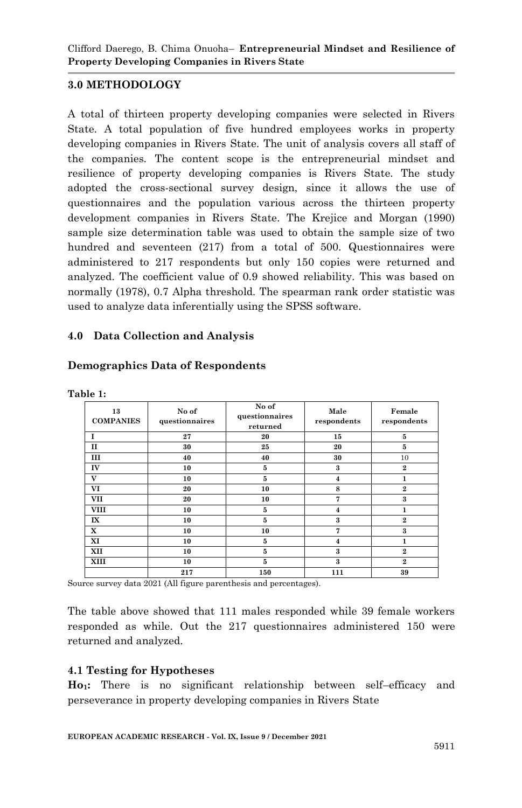# **3.0 METHODOLOGY**

A total of thirteen property developing companies were selected in Rivers State. A total population of five hundred employees works in property developing companies in Rivers State. The unit of analysis covers all staff of the companies. The content scope is the entrepreneurial mindset and resilience of property developing companies is Rivers State. The study adopted the cross-sectional survey design, since it allows the use of questionnaires and the population various across the thirteen property development companies in Rivers State. The Krejice and Morgan (1990) sample size determination table was used to obtain the sample size of two hundred and seventeen (217) from a total of 500. Questionnaires were administered to 217 respondents but only 150 copies were returned and analyzed. The coefficient value of 0.9 showed reliability. This was based on normally (1978), 0.7 Alpha threshold. The spearman rank order statistic was used to analyze data inferentially using the SPSS software.

#### **4.0 Data Collection and Analysis**

| Table 1:               |                         |                                     |                         |                       |
|------------------------|-------------------------|-------------------------------------|-------------------------|-----------------------|
| 13<br><b>COMPANIES</b> | No of<br>questionnaires | No of<br>questionnaires<br>returned | Male<br>respondents     | Female<br>respondents |
| T                      | 27                      | 20                                  | 15                      | 5                     |
| $\mathbf{I}$           | 30                      | 25                                  | 20                      | 5                     |
| ш                      | 40                      | 40                                  | 30                      | 10                    |
| IV                     | 10                      | 5                                   | 3                       | $\overline{2}$        |
| V                      | 10                      | 5                                   | $\overline{\mathbf{4}}$ | 1                     |
| VI                     | 20                      | 10                                  | 8                       | $\mathbf{2}$          |
| <b>VII</b>             | 20                      | 10                                  | 7                       | 3                     |
| <b>VIII</b>            | 10                      | 5                                   | 4                       | 1                     |
| $\mathbf{I}$           | 10                      | 5                                   | 3                       | $\mathbf{2}$          |
| x                      | 10                      | 10                                  | 7                       | 3                     |
| XI                     | 10                      | 5                                   | 4                       | 1                     |
| XII                    | 10                      | 5                                   | 3                       | $\overline{2}$        |
| XIII                   | 10                      | 5                                   | 3                       | $\overline{2}$        |
|                        | 217                     | 150                                 | 111                     | 39                    |

#### **Demographics Data of Respondents**

Source survey data 2021 (All figure parenthesis and percentages).

The table above showed that 111 males responded while 39 female workers responded as while. Out the 217 questionnaires administered 150 were returned and analyzed.

#### **4.1 Testing for Hypotheses**

**Ho1:** There is no significant relationship between self–efficacy and perseverance in property developing companies in Rivers State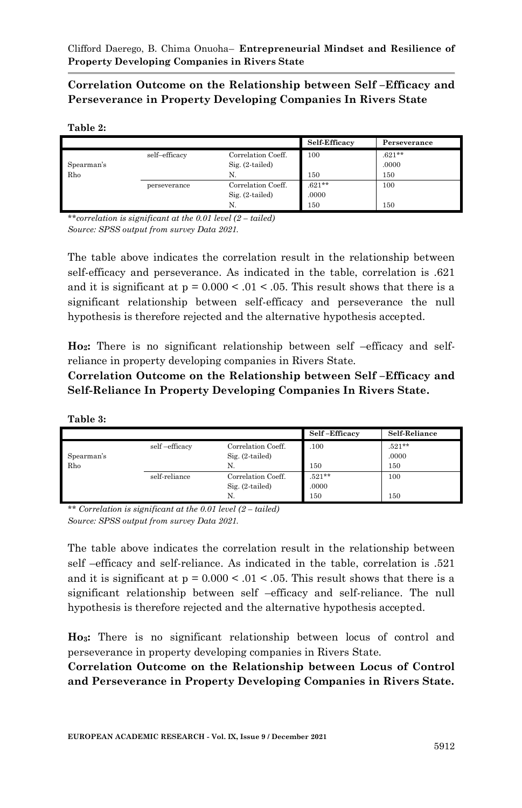**Correlation Outcome on the Relationship between Self –Efficacy and Perseverance in Property Developing Companies In Rivers State**

#### **Table 2:**

|            |               |                    | Self-Efficacy | Perseverance |
|------------|---------------|--------------------|---------------|--------------|
|            | self-efficacy | Correlation Coeff. | 100           | $.621**$     |
| Spearman's |               | $Sig. (2-tailed)$  |               | .0000        |
| Rho        |               | N.                 | 150           | 150          |
|            | perseverance  | Correlation Coeff. | $.621***$     | 100          |
|            |               | $Sig. (2-tailed)$  | .0000         |              |
|            |               | N.                 | 150           | 150          |

*\*\*correlation is significant at the 0.01 level (2 – tailed) Source: SPSS output from survey Data 2021.* 

The table above indicates the correlation result in the relationship between self-efficacy and perseverance. As indicated in the table, correlation is .621 and it is significant at  $p = 0.000 < 0.01 < 0.05$ . This result shows that there is a significant relationship between self-efficacy and perseverance the null hypothesis is therefore rejected and the alternative hypothesis accepted.

**Ho2:** There is no significant relationship between self –efficacy and selfreliance in property developing companies in Rivers State.

**Correlation Outcome on the Relationship between Self –Efficacy and Self-Reliance In Property Developing Companies In Rivers State.** 

| anie |  |
|------|--|
|      |  |

|            |               |                    | Self-Efficacy | Self-Reliance |
|------------|---------------|--------------------|---------------|---------------|
|            | self-efficacy | Correlation Coeff. | .100          | $.521**$      |
| Spearman's |               | $Sig. (2-tailed)$  |               | .0000         |
| Rho        |               | N.                 | 150           | 150           |
|            | self-reliance | Correlation Coeff. | $.521**$      | 100           |
|            |               | $Sig. (2-tailed)$  | .0000         |               |
|            |               | N.                 | 150           | 150           |

*\*\* Correlation is significant at the 0.01 level (2 – tailed) Source: SPSS output from survey Data 2021.* 

The table above indicates the correlation result in the relationship between self –efficacy and self-reliance. As indicated in the table, correlation is .521 and it is significant at  $p = 0.000 < 0.01 < 0.05$ . This result shows that there is a significant relationship between self –efficacy and self-reliance. The null hypothesis is therefore rejected and the alternative hypothesis accepted.

**Ho3:** There is no significant relationship between locus of control and perseverance in property developing companies in Rivers State.

**Correlation Outcome on the Relationship between Locus of Control and Perseverance in Property Developing Companies in Rivers State.**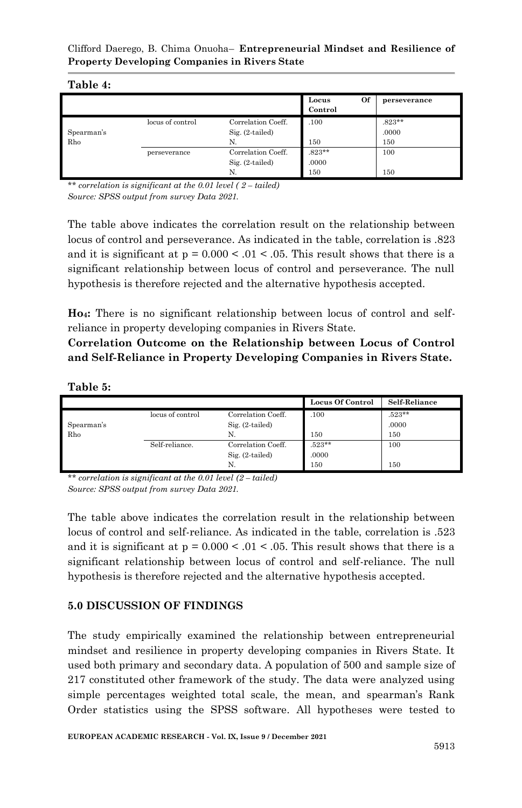#### **Table 4:**

|            |                  |                    | Of<br>Locus<br>Control | perseverance |
|------------|------------------|--------------------|------------------------|--------------|
|            | locus of control | Correlation Coeff. | .100                   | $.823**$     |
| Spearman's |                  | Sig. (2-tailed)    |                        | .0000        |
| Rho        |                  | N.                 | 150                    | 150          |
|            | perseverance     | Correlation Coeff. | $.823**$               | 100          |
|            |                  | $Sig. (2-tailed)$  | .0000                  |              |
|            |                  | N.                 | 150                    | 150          |

*\*\* correlation is significant at the 0.01 level ( 2 – tailed) Source: SPSS output from survey Data 2021.* 

The table above indicates the correlation result on the relationship between locus of control and perseverance. As indicated in the table, correlation is .823 and it is significant at  $p = 0.000 < 0.01 < 0.05$ . This result shows that there is a significant relationship between locus of control and perseverance. The null hypothesis is therefore rejected and the alternative hypothesis accepted.

**Ho4:** There is no significant relationship between locus of control and selfreliance in property developing companies in Rivers State.

**Correlation Outcome on the Relationship between Locus of Control and Self-Reliance in Property Developing Companies in Rivers State.**

**Table 5:**

|            |                  |                    | <b>Locus Of Control</b> | Self-Reliance |
|------------|------------------|--------------------|-------------------------|---------------|
|            | locus of control | Correlation Coeff. | .100                    | $.523**$      |
| Spearman's |                  | $Sig. (2-tailed)$  |                         | .0000         |
| Rho        |                  | N.                 | 150                     | 150           |
|            | Self-reliance.   | Correlation Coeff. | $.523**$                | 100           |
|            |                  | Sig. (2-tailed)    | .0000                   |               |
|            |                  | N.                 | 150                     | 150           |

*\*\* correlation is significant at the 0.01 level (2 – tailed) Source: SPSS output from survey Data 2021.* 

The table above indicates the correlation result in the relationship between locus of control and self-reliance. As indicated in the table, correlation is .523 and it is significant at  $p = 0.000 < 0.01 < 0.05$ . This result shows that there is a significant relationship between locus of control and self-reliance. The null hypothesis is therefore rejected and the alternative hypothesis accepted.

# **5.0 DISCUSSION OF FINDINGS**

The study empirically examined the relationship between entrepreneurial mindset and resilience in property developing companies in Rivers State. It used both primary and secondary data. A population of 500 and sample size of 217 constituted other framework of the study. The data were analyzed using simple percentages weighted total scale, the mean, and spearman's Rank Order statistics using the SPSS software. All hypotheses were tested to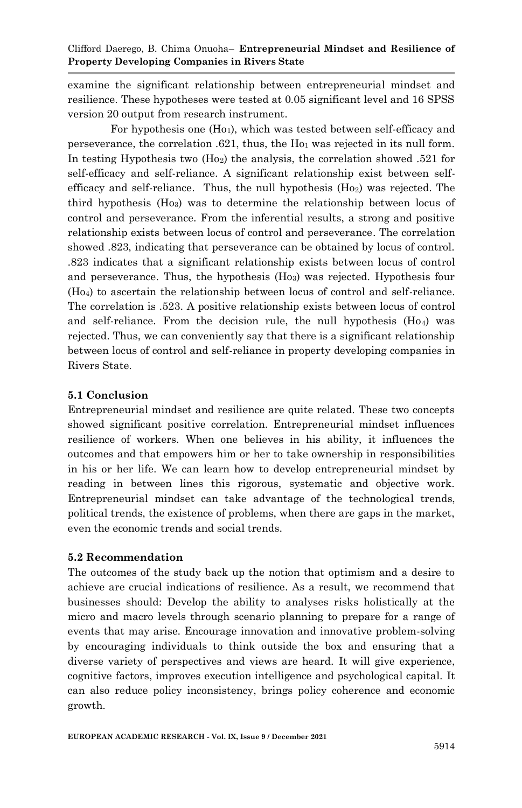examine the significant relationship between entrepreneurial mindset and resilience. These hypotheses were tested at 0.05 significant level and 16 SPSS version 20 output from research instrument.

For hypothesis one (H<sub>01</sub>), which was tested between self-efficacy and perseverance, the correlation .621, thus, the Ho<sup>1</sup> was rejected in its null form. In testing Hypothesis two (Ho2) the analysis, the correlation showed .521 for self-efficacy and self-reliance. A significant relationship exist between selfefficacy and self-reliance. Thus, the null hypothesis (Ho2) was rejected. The third hypothesis (Ho3) was to determine the relationship between locus of control and perseverance. From the inferential results, a strong and positive relationship exists between locus of control and perseverance. The correlation showed .823, indicating that perseverance can be obtained by locus of control. .823 indicates that a significant relationship exists between locus of control and perseverance. Thus, the hypothesis (Ho3) was rejected. Hypothesis four (Ho4) to ascertain the relationship between locus of control and self-reliance. The correlation is .523. A positive relationship exists between locus of control and self-reliance. From the decision rule, the null hypothesis  $(H_0)$  was rejected. Thus, we can conveniently say that there is a significant relationship between locus of control and self-reliance in property developing companies in Rivers State.

# **5.1 Conclusion**

Entrepreneurial mindset and resilience are quite related. These two concepts showed significant positive correlation. Entrepreneurial mindset influences resilience of workers. When one believes in his ability, it influences the outcomes and that empowers him or her to take ownership in responsibilities in his or her life. We can learn how to develop entrepreneurial mindset by reading in between lines this rigorous, systematic and objective work. Entrepreneurial mindset can take advantage of the technological trends, political trends, the existence of problems, when there are gaps in the market, even the economic trends and social trends.

#### **5.2 Recommendation**

The outcomes of the study back up the notion that optimism and a desire to achieve are crucial indications of resilience. As a result, we recommend that businesses should: Develop the ability to analyses risks holistically at the micro and macro levels through scenario planning to prepare for a range of events that may arise. Encourage innovation and innovative problem-solving by encouraging individuals to think outside the box and ensuring that a diverse variety of perspectives and views are heard. It will give experience, cognitive factors, improves execution intelligence and psychological capital. It can also reduce policy inconsistency, brings policy coherence and economic growth.